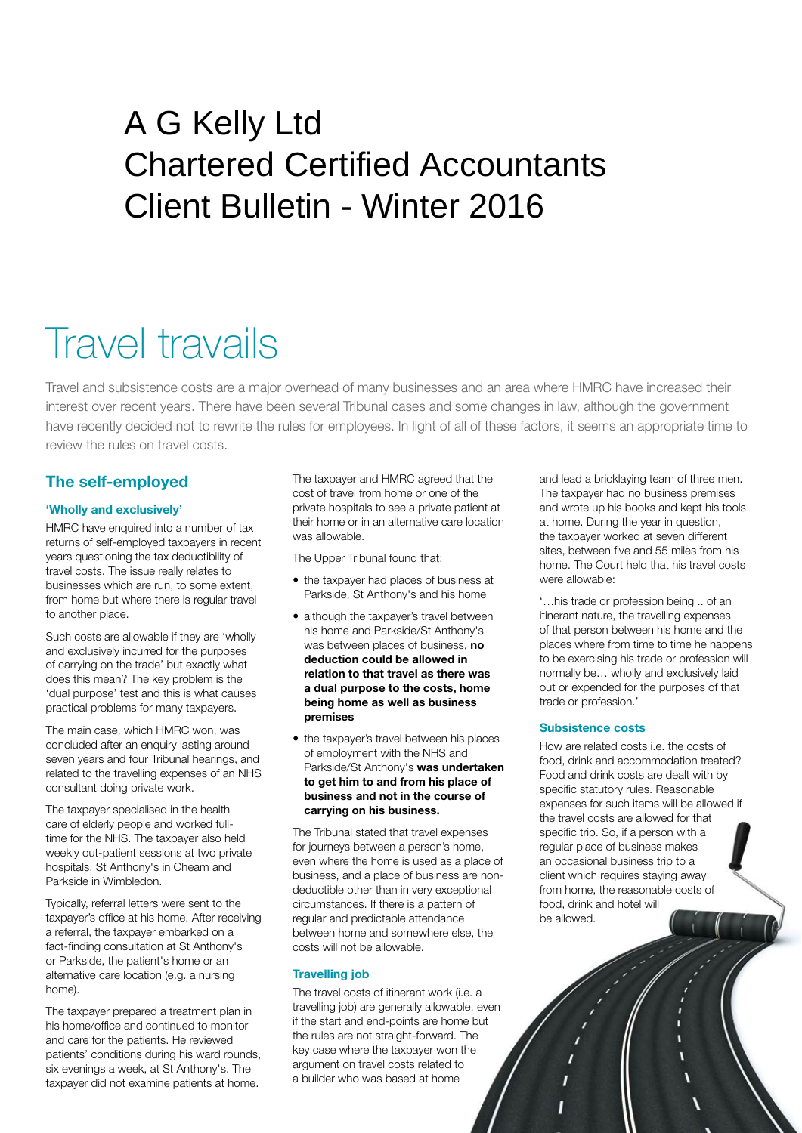## A G Kelly Ltd Chartered Certified Accountants Client Bulletin - Winter 2016

# Travel travails

Travel and subsistence costs are a major overhead of many businesses and an area where HMRC have increased their interest over recent years. There have been several Tribunal cases and some changes in law, although the government have recently decided not to rewrite the rules for employees. In light of all of these factors, it seems an appropriate time to review the rules on travel costs.

## **The self-employed**

#### **'Wholly and exclusively'**

HMRC have enquired into a number of tax returns of self-employed taxpayers in recent years questioning the tax deductibility of travel costs. The issue really relates to businesses which are run, to some extent, from home but where there is regular travel to another place.

Such costs are allowable if they are 'wholly and exclusively incurred for the purposes of carrying on the trade' but exactly what does this mean? The key problem is the 'dual purpose' test and this is what causes practical problems for many taxpayers.

The main case, which HMRC won, was concluded after an enquiry lasting around seven years and four Tribunal hearings, and related to the travelling expenses of an NHS consultant doing private work.

The taxpayer specialised in the health care of elderly people and worked fulltime for the NHS. The taxpayer also held weekly out-patient sessions at two private hospitals, St Anthony's in Cheam and Parkside in Wimbledon.

Typically, referral letters were sent to the taxpayer's office at his home. After receiving a referral, the taxpayer embarked on a fact-finding consultation at St Anthony's or Parkside, the patient's home or an alternative care location (e.g. a nursing home).

The taxpayer prepared a treatment plan in his home/office and continued to monitor and care for the patients. He reviewed patients' conditions during his ward rounds, six evenings a week, at St Anthony's. The taxpayer did not examine patients at home.

The taxpayer and HMRC agreed that the cost of travel from home or one of the private hospitals to see a private patient at their home or in an alternative care location was allowable.

The Upper Tribunal found that:

- the taxpayer had places of business at Parkside, St Anthony's and his home
- although the taxpayer's travel between his home and Parkside/St Anthony's was between places of business, **no deduction could be allowed in relation to that travel as there was a dual purpose to the costs, home being home as well as business premises**
- the taxpayer's travel between his places of employment with the NHS and Parkside/St Anthony's **was undertaken to get him to and from his place of business and not in the course of carrying on his business.**

The Tribunal stated that travel expenses for journeys between a person's home, even where the home is used as a place of business, and a place of business are nondeductible other than in very exceptional circumstances. If there is a pattern of regular and predictable attendance between home and somewhere else, the costs will not be allowable.

#### **Travelling job**

The travel costs of itinerant work (i.e. a travelling job) are generally allowable, even if the start and end-points are home but the rules are not straight-forward. The key case where the taxpayer won the argument on travel costs related to a builder who was based at home

and lead a bricklaying team of three men. The taxpayer had no business premises and wrote up his books and kept his tools at home. During the year in question, the taxpayer worked at seven different sites, between five and 55 miles from his home. The Court held that his travel costs were allowable:

'…his trade or profession being .. of an itinerant nature, the travelling expenses of that person between his home and the places where from time to time he happens to be exercising his trade or profession will normally be… wholly and exclusively laid out or expended for the purposes of that trade or profession.'

#### **Subsistence costs**

How are related costs i.e. the costs of food, drink and accommodation treated? Food and drink costs are dealt with by specific statutory rules. Reasonable expenses for such items will be allowed if the travel costs are allowed for that specific trip. So, if a person with a regular place of business makes an occasional business trip to a client which requires staying away from home, the reasonable costs of food, drink and hotel will be allowed.